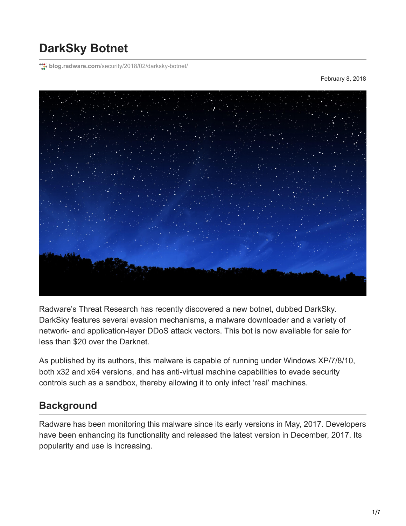# **DarkSky Botnet**

**blog.radware.com**[/security/2018/02/darksky-botnet/](https://blog.radware.com/security/2018/02/darksky-botnet/)

February 8, 2018



Radware's Threat Research has recently discovered a new botnet, dubbed DarkSky. DarkSky features several evasion mechanisms, a malware downloader and a variety of network- and application-layer DDoS attack vectors. This bot is now available for sale for less than \$20 over the Darknet.

As published by its authors, this malware is capable of running under Windows XP/7/8/10, both x32 and x64 versions, and has anti-virtual machine capabilities to evade security controls such as a sandbox, thereby allowing it to only infect 'real' machines.

## **Background**

Radware has been monitoring this malware since its early versions in May, 2017. Developers have been enhancing its functionality and released the latest version in December, 2017. Its popularity and use is increasing.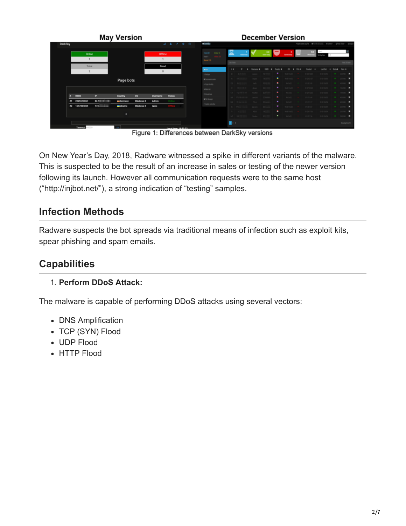|                                                                                         | <b>May Version</b>                                                                                                     | <b>December Version</b>                                                                                                                                                                                                                                                                                                                                                      |
|-----------------------------------------------------------------------------------------|------------------------------------------------------------------------------------------------------------------------|------------------------------------------------------------------------------------------------------------------------------------------------------------------------------------------------------------------------------------------------------------------------------------------------------------------------------------------------------------------------------|
| <b>DarkSky</b>                                                                          | $\circ$<br>۰                                                                                                           | <b>A DarkSky</b><br>+0m (sterilis) Fig. 01<br>@Dated - @Pearltob - OLogo                                                                                                                                                                                                                                                                                                     |
| Online                                                                                  | Offline                                                                                                                | <b>Septima</b><br>Text 252<br>Ordina: 13<br>--<br><b>Spread toda</b><br>$3m+1$<br><b>Bened 110</b>                                                                                                                                                                                                                                                                           |
| Total                                                                                   | Dead<br>$^{\circ}$                                                                                                     | Last Ori.<br>$\cdots$<br><b>Hours</b><br><b>Shahang</b><br><b>San 4</b><br><b>Aldan</b><br>Created                                                                                                                                                                                                                                                                           |
|                                                                                         | Page bots                                                                                                              | ٠.<br>$\bullet$ $\cdot$ $\cdot$ $\bullet$ $\bullet$<br>01-28 14:45<br>01-21-06.56<br><b>STATISTICS</b><br>- 44<br><b>Listings</b><br>$\alpha$ $\alpha$<br><b>COLLEGE A</b><br><b>Barnette</b><br>10.00.21.37<br>101210810<br>56 1 19<br><b>B</b> Commercial contact<br>make 1<br>$\bullet$   0.09.309   05.01.06.93<br><b>COLLEGE A</b><br>123 50<br>$\Box$<br>extremely and |
| P<br><b>HWID</b>                                                                        | os<br>Country<br>Username<br>Status                                                                                    | <b>CONTRACTOR</b><br>$-1.0224$<br>2012/08/09<br><b>Based</b><br>$-16$<br>witness:<br><b>B</b> Inches <b>B</b><br><b>Bushel For</b><br>U Check Hoat                                                                                                                                                                                                                           |
| 2225513067<br><b>82.100 Million</b><br>$^{\bullet \bullet}$<br>178.<br>1647864855<br>82 | <b>Extermany</b><br><b>Windows 8</b><br><b>Admin</b><br>Online<br><b>Windows 8</b><br><b>ELikraine</b><br><b>lgors</b> | Janet N.   (11)<br><b>COLLEGE AND STATE</b><br><b>B</b> To Manager<br><b>CONSIGN COMPANY</b><br><b>A DISTURBANCE</b><br>201 011<br>Private Rich<br>City date and other<br><b>8</b> 2000 <b>8</b><br>110010-012<br><b>CONTRACTOR</b><br><b>Donate</b><br>$36 - 128$<br>1010112-011<br>0-21034 0 2004 0<br>ASS -<br>$\sim$                                                     |
| <b>Timeout:</b>                                                                         | $^{\circ}$<br>conditional SA-95-09                                                                                     | 0.03796 0.010654 0 0000 0<br>$10 - 20$<br>Station E<br>Well Add<br>m.<br>Storing Life 19                                                                                                                                                                                                                                                                                     |

Figure 1: Differences between DarkSky versions

On New Year's Day, 2018, Radware witnessed a spike in different variants of the malware. This is suspected to be the result of an increase in sales or testing of the newer version following its launch. However all communication requests were to the same host ("http://injbot.net/"), a strong indication of "testing" samples.

# **Infection Methods**

Radware suspects the bot spreads via traditional means of infection such as exploit kits, spear phishing and spam emails.

# **Capabilities**

#### 1. **Perform DDoS Attack:**

The malware is capable of performing DDoS attacks using several vectors:

- DNS Amplification
- TCP (SYN) Flood
- UDP Flood
- HTTP Flood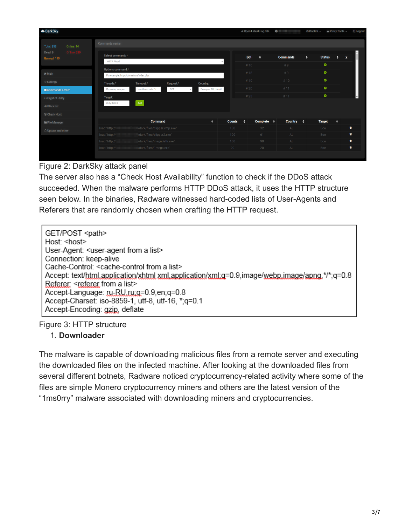| <b>OarkSky</b>                         |                                                                                |                     | → Open Latest Log File       | $\bullet$ $\qquad$ $\qquad$ $\qquad$ $\bullet$ $\qquad$ $\bullet$ $\qquad$ $\bullet$ $\qquad$ $\bullet$ $\qquad$ $\bullet$ $\qquad$ $\bullet$ $\qquad$ $\bullet$ $\qquad$ $\bullet$ $\qquad$ $\bullet$ $\qquad$ $\bullet$ $\qquad$ $\bullet$ $\qquad$ $\bullet$ $\qquad$ $\bullet$ $\qquad$ $\bullet$ $\qquad$ $\bullet$ $\qquad$ $\bullet$ $\qquad$ $\bullet$ $\qquad$ $\bullet$ $\qquad$ | Proxy Tools -<br><b>O</b> Control <del>▼</del> | <b>U</b> Logout |
|----------------------------------------|--------------------------------------------------------------------------------|---------------------|------------------------------|--------------------------------------------------------------------------------------------------------------------------------------------------------------------------------------------------------------------------------------------------------------------------------------------------------------------------------------------------------------------------------------------|------------------------------------------------|-----------------|
| Online: 14<br><b>Total: 253</b>        | Commands center                                                                |                     |                              |                                                                                                                                                                                                                                                                                                                                                                                            |                                                |                 |
| Offline: 239<br>Dead: 9<br>Banned: 110 | Select command: *<br><b>HTTP Flood</b>                                         | $\mathbf{v}$        | <b>Bot</b><br>٠              | <b>Commands</b>                                                                                                                                                                                                                                                                                                                                                                            | <b>Status</b><br>٠<br>$\mathbf{x}$             |                 |
| <b>W</b> Main                          | Options command:*                                                              |                     | #16<br>#18                   | #9<br>#9                                                                                                                                                                                                                                                                                                                                                                                   | $\bullet$<br>$\bullet$                         |                 |
| Settings                               | For example: http://domain.ru/index.php<br>Threads:*<br>Request:*<br>Timeout:* | Country:            | #19                          | #10                                                                                                                                                                                                                                                                                                                                                                                        | $\bullet$                                      |                 |
| Commands center                        | In miliseconds: 10<br>GET<br>Потоков, наприм                                   | Example: RU, UA (AL | #20                          | #11                                                                                                                                                                                                                                                                                                                                                                                        | $\bullet$                                      |                 |
| ↔ Crypt of utility                     | Target:                                                                        |                     | #23                          | #11                                                                                                                                                                                                                                                                                                                                                                                        | $\bullet$                                      |                 |
| <b>Ø Black list</b>                    | Add<br>Only ID Bot                                                             |                     |                              |                                                                                                                                                                                                                                                                                                                                                                                            |                                                |                 |
| <b>Ø Check Host</b>                    |                                                                                |                     |                              |                                                                                                                                                                                                                                                                                                                                                                                            |                                                |                 |
| File Manager                           | <b>Command</b>                                                                 | ٠<br><b>Counts</b>  | Complete $\phi$<br>$\bullet$ | <b>Country</b><br>٠                                                                                                                                                                                                                                                                                                                                                                        | $\blacklozenge$<br><b>Target</b>               |                 |
| C Update and other                     | load:"http://<br>"/dark/files/clipper.vmp.exe"                                 | 100                 | 32                           | AL.                                                                                                                                                                                                                                                                                                                                                                                        | û<br><b>Bce</b>                                |                 |
|                                        | load:"http://<br>/dark/files/clipper2.exe"                                     | 100                 | 61                           | AL                                                                                                                                                                                                                                                                                                                                                                                         | ٠<br><b>Bce</b>                                |                 |
|                                        | /dark/files/megadeth.exe"<br>load:"http://                                     | 100                 | 90                           | AL                                                                                                                                                                                                                                                                                                                                                                                         | 會<br><b>Bce</b>                                |                 |
|                                        | //dark/files/1mega.exe<br>load:"http://                                        | 20                  | 20 <sup>°</sup>              | AL.                                                                                                                                                                                                                                                                                                                                                                                        | ۰<br>Bce                                       |                 |
|                                        |                                                                                |                     |                              |                                                                                                                                                                                                                                                                                                                                                                                            |                                                |                 |

#### Figure 2: DarkSky attack panel

The server also has a "Check Host Availability" function to check if the DDoS attack succeeded. When the malware performs HTTP DDoS attack, it uses the HTTP structure seen below. In the binaries, Radware witnessed hard-coded lists of User-Agents and Referers that are randomly chosen when crafting the HTTP request.

GET/POST <path> Host: <host> User-Agent: <user-agent from a list> Connection: keep-alive Cache-Control: < cache-control from a list> Accept: text/html.application/xhtml.xml.application/xml.g=0.9.image/webp.image/apng.\*/\*;q=0.8 Referer: <referer from a list> Accept-Language: ru-RU.ru:g=0.9.en;g=0.8 Accept-Charset: iso-8859-1, utf-8, utf-16, \*; q=0.1 Accept-Encoding: gzip, deflate

Figure 3: HTTP structure

#### 1. **Downloader**

The malware is capable of downloading malicious files from a remote server and executing the downloaded files on the infected machine. After looking at the downloaded files from several different botnets, Radware noticed cryptocurrency-related activity where some of the files are simple Monero cryptocurrency miners and others are the latest version of the "1ms0rry" malware associated with downloading miners and cryptocurrencies.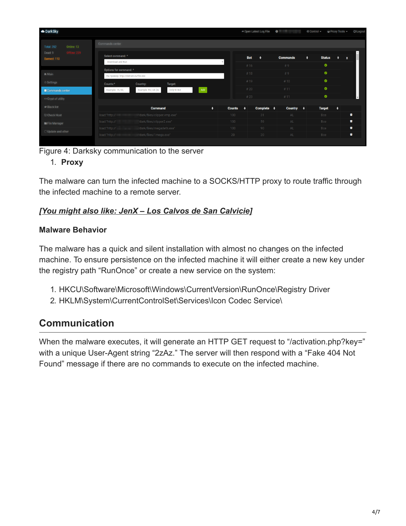| <b>OD</b> DarkSky                            |                                                                                                  | → Open Latest Log File                      | $\bullet$       | ● Proxy Tools –<br><b>O</b> Control –   | <b>U</b> Logout |
|----------------------------------------------|--------------------------------------------------------------------------------------------------|---------------------------------------------|-----------------|-----------------------------------------|-----------------|
| Online: 13<br><b>Total: 252</b>              | Commands center                                                                                  |                                             |                 |                                         |                 |
| <b>Offlne: 239</b><br>Dead: 9<br>Banned: 110 | Select command: *<br>Download and Run<br>$\mathbf{v}$                                            | <b>Bot</b><br>٠                             | <b>Commands</b> | ٠<br><b>Status</b><br>$\bullet$         | х               |
| In Main                                      | Options for command: *<br>На пример: http://domain.ru/file.exe                                   | #16<br>#18                                  | #9<br>#9        | $\bullet$<br>$\bullet$                  |                 |
| Settings<br>Commands center                  | Counts:*<br>Country:<br>Target:<br>Add<br>Example: RU, UA (AL<br>Only ID Bot<br>Example: 15, 50, | #19<br>#20                                  | #10<br>#11      | $\bullet$                               |                 |
| ↔ Crypt of utility                           |                                                                                                  | #23                                         | #11             | $\bullet$                               |                 |
| <b>Ø Black list</b>                          | $\bullet$<br><b>Command</b>                                                                      | <b>Counts</b><br>Complete $\triangleq$<br>٠ | <b>Country</b>  | $\bullet$<br><b>Target</b><br>$\bullet$ |                 |
| <b>⊘ Check Host</b>                          | load:"http://<br>"dark/files/clipper.vmp.exe"                                                    | 100<br>31                                   | AL              | Bce                                     | Û               |
| File Manager                                 | load:"http://<br>'dark/files/clipper2.exe"                                                       | 100<br>59                                   | AL.             | Bce                                     | ۰               |
|                                              | load:"http://<br>/dark/files/megadeth.exe"                                                       | 100<br>90                                   | AL              | <b>Bce</b>                              | ٠               |
| ○ Update and other                           | "dark/files/1mega.exe"<br>load:"http://                                                          | 20<br>20                                    | AL.             | Bce                                     | û               |

Figure 4: Darksky communication to the server

#### 1. **Proxy**

The malware can turn the infected machine to a SOCKS/HTTP proxy to route traffic through the infected machine to a remote server.

### *[\[You might also like: JenX – Los Calvos de San Calvicie\]](https://blog.radware.com/security/2018/02/jenx-los-calvos-de-san-calvicie/)*

#### **Malware Behavior**

The malware has a quick and silent installation with almost no changes on the infected machine. To ensure persistence on the infected machine it will either create a new key under the registry path "RunOnce" or create a new service on the system:

- 1. HKCU\Software\Microsoft\Windows\CurrentVersion\RunOnce\Registry Driver
- 2. HKLM\System\CurrentControlSet\Services\Icon Codec Service\

# **Communication**

When the malware executes, it will generate an HTTP GET request to "/activation.php?key=" with a unique User-Agent string "2zAz." The server will then respond with a "Fake 404 Not Found" message if there are no commands to execute on the infected machine.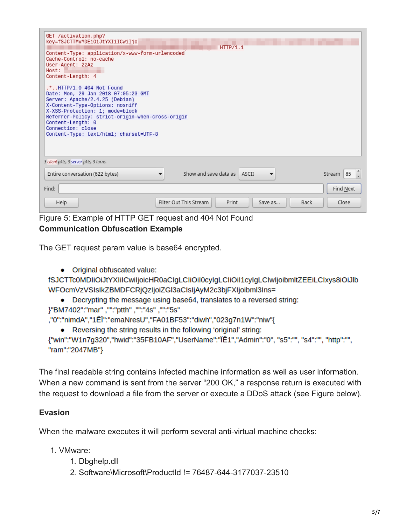| GET /activation.php?<br>key=fSJCTTMyMDEiOiJtYXIiICwiIjo<br>Content-Type: application/x-www-form-urlencoded<br>Cache-Control: no-cache<br>User-Agent: 2zAz<br>Host:<br>Content-Length: 4<br>.*HTTP/1.0 404 Not Found<br>Date: Mon, 29 Jan 2018 07:05:23 GMT<br>Server: Apache/2.4.25 (Debian)<br>X-Content-Type-Options: nosniff<br>X-XSS-Protection: 1; mode=block<br>Referrer-Policy: strict-origin-when-cross-origin<br>Content-Length: 0<br>Connection: close<br>Content-Type: text/html; charset=UTF-8 | <b>HTTP71.1</b>                                           |           |
|------------------------------------------------------------------------------------------------------------------------------------------------------------------------------------------------------------------------------------------------------------------------------------------------------------------------------------------------------------------------------------------------------------------------------------------------------------------------------------------------------------|-----------------------------------------------------------|-----------|
| 3 client pkts, 3 server pkts, 3 turns.<br>Entire conversation (622 bytes)                                                                                                                                                                                                                                                                                                                                                                                                                                  | Show and save data as ASCII                               | Stream 85 |
| Find:                                                                                                                                                                                                                                                                                                                                                                                                                                                                                                      |                                                           | Find Next |
| Help                                                                                                                                                                                                                                                                                                                                                                                                                                                                                                       | Filter Out This Stream<br>Print<br><b>Back</b><br>Save as | Close     |

Figure 5: Example of HTTP GET request and 404 Not Found **Communication Obfuscation Example**

The GET request param value is base64 encrypted.

• Original obfuscated value:

fSJCTTc0MDIiOiJtYXIiICwiIjoicHR0aCIgLCIiOiI0cyIgLCIiOi11cyIgLCIwIjoibmltZEEiLCIxys8iOiJlb WFOcmVzVSIsIkZBMDFCRjQzIjoiZGl3aCIsIjAyM2c3bjFXIjoibml3Ins=

• Decrypting the message using base64, translates to a reversed string: }"BM7402":"mar", "":"ptth", "":"4s", "":"5s"

,"0":"nimdA","1ÊÏ":"emaNresU","FA01BF53":"diwh","023g7n1W":"niw"{

• Reversing the string results in the following 'original' string:

{"win":"W1n7g320","hwid":"35FB10AF","UserName":"ÎÊ1","Admin":"0", "s5":"", "s4":"", "http":"", "ram":"2047MB"}

The final readable string contains infected machine information as well as user information. When a new command is sent from the server "200 OK," a response return is executed with the request to download a file from the server or execute a DDoS attack (see Figure below).

#### **Evasion**

When the malware executes it will perform several anti-virtual machine checks:

- 1. VMware:
	- 1. Dbghelp.dll
	- 2. Software\Microsoft\ProductId != 76487-644-3177037-23510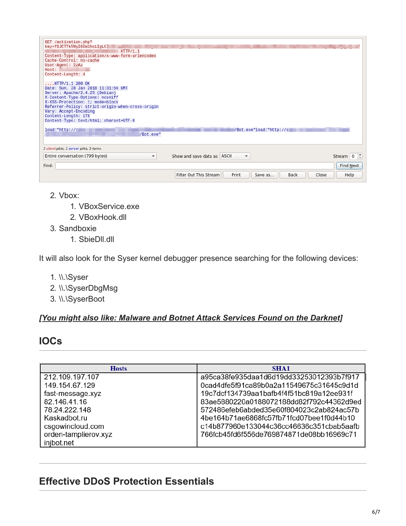| GET /activation.php?<br>key=fSJCTTk5NyI6Im1hciIgLC]<br>HTTP/1.1<br>Content-Type: application/x-www-form-urlencoded<br>Cache-Control: no-cache<br>User-Agent: 2zAz<br>Host:<br>Content-Length: 4                                                                                                                 |                                                             |           |
|-----------------------------------------------------------------------------------------------------------------------------------------------------------------------------------------------------------------------------------------------------------------------------------------------------------------|-------------------------------------------------------------|-----------|
| $$ HTTP/1.1 200 OK<br>Date: Sun, 28 Jan 2018 11:31:56 GMT<br>Server: Apache/2.4.25 (Debian)<br>X-Content-Type-Options: nosniff<br>X-XSS-Protection: 1; mode=block<br>Referrer-Policy: strict-origin-when-cross-origin<br>Vary: Accept-Encoding<br>Content-Length: 178<br>Content-Type: text/html; charset=UTF-8 |                                                             |           |
| 10ad:"http://<br>/Bot.exe"                                                                                                                                                                                                                                                                                      | /Bot.exe"load:"http://                                      |           |
| 3 client pkts, 3 server pkts, 3 turns.                                                                                                                                                                                                                                                                          |                                                             |           |
| Entire conversation (799 bytes)<br>$\overline{\phantom{a}}$                                                                                                                                                                                                                                                     | Show and save data as ASCII<br>$\overline{\mathbf{v}}$      |           |
| Find:                                                                                                                                                                                                                                                                                                           |                                                             | Find Next |
|                                                                                                                                                                                                                                                                                                                 | Filter Out This Stream<br>Print<br>Save as<br>Back<br>Close | Help      |

- 2. Vbox:
	- 1. VBoxService.exe
	- 2. VBoxHook.dll
- 3. Sandboxie
	- 1. SbieDll.dll

It will also look for the Syser kernel debugger presence searching for the following devices:

- 1. \\.\Syser
- 2. \\.\SyserDbgMsg
- 3. \\.\SyserBoot

#### *[\[You might also like: Malware and Botnet Attack Services Found on the Darknet\]](https://blog.radware.com/security/2016/07/malware-and-botnet-attack-services-found-on-the-darknet/)*

## **IOCs**

| <b>Hosts</b>         | <b>SHA1</b>                              |  |  |
|----------------------|------------------------------------------|--|--|
| 212.109.197.107      | a95ca38fe935daa1d6d19dd33253012393b7f917 |  |  |
| 149.154.67.129       | 0cad4dfe5f91ca89b0a2a11549675c31645c9d1d |  |  |
| fast-message.xyz     | 19c7dcf134739aa1bafb4f4f51bc819a12ee931f |  |  |
| 82.146.41.16         | 83ae5880220a0188072188dd82f792c44362d9ed |  |  |
| 78.24.222.148        | 572486efeb6abded35e60f804023c2ab824ac57b |  |  |
| Kaskadbot.ru         | 4be164b71ae6868fc57fb71fcd07bee1f0d44b10 |  |  |
| csgowincloud.com     | c14b877960e133044c36cc46636c351cbab5aafb |  |  |
| orden-tamplierov.xyz | 766fcb45fd6f556de769874871de08bb16969c71 |  |  |
| injbot.net           |                                          |  |  |

# **Effective DDoS Protection Essentials**